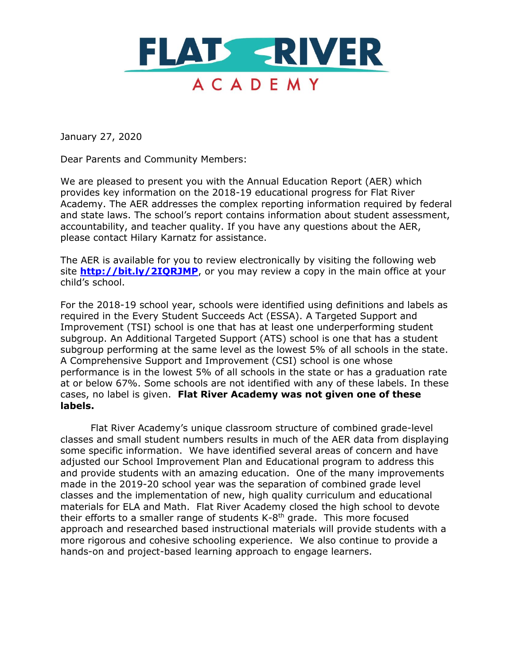

January 27, 2020

Dear Parents and Community Members:

We are pleased to present you with the Annual Education Report (AER) which provides key information on the 2018-19 educational progress for Flat River Academy. The AER addresses the complex reporting information required by federal and state laws. The school's report contains information about student assessment, accountability, and teacher quality. If you have any questions about the AER, please contact Hilary Karnatz for assistance.

The AER is available for you to review electronically by visiting the following web site **<http://bit.ly/2IQRJMP>**, or you may review a copy in the main office at your child's school.

For the 2018-19 school year, schools were identified using definitions and labels as required in the Every Student Succeeds Act (ESSA). A Targeted Support and Improvement (TSI) school is one that has at least one underperforming student subgroup. An Additional Targeted Support (ATS) school is one that has a student subgroup performing at the same level as the lowest 5% of all schools in the state. A Comprehensive Support and Improvement (CSI) school is one whose performance is in the lowest 5% of all schools in the state or has a graduation rate at or below 67%. Some schools are not identified with any of these labels. In these cases, no label is given. **Flat River Academy was not given one of these labels.**

Flat River Academy's unique classroom structure of combined grade-level classes and small student numbers results in much of the AER data from displaying some specific information. We have identified several areas of concern and have adjusted our School Improvement Plan and Educational program to address this and provide students with an amazing education. One of the many improvements made in the 2019-20 school year was the separation of combined grade level classes and the implementation of new, high quality curriculum and educational materials for ELA and Math. Flat River Academy closed the high school to devote their efforts to a smaller range of students  $K-8<sup>th</sup>$  grade. This more focused approach and researched based instructional materials will provide students with a more rigorous and cohesive schooling experience. We also continue to provide a hands-on and project-based learning approach to engage learners.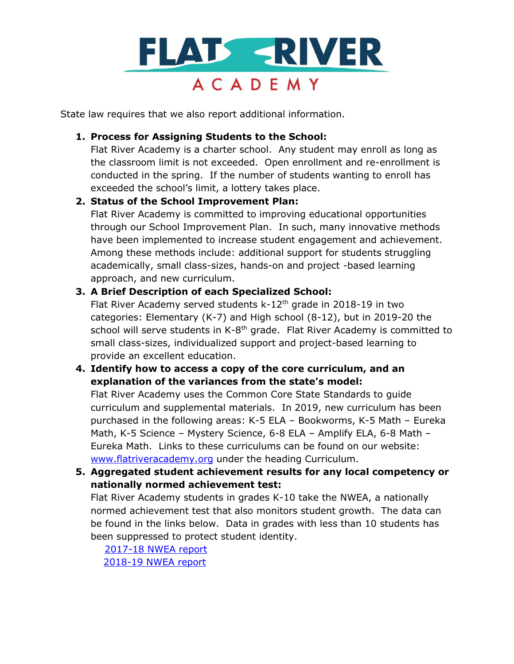

State law requires that we also report additional information.

## **1. Process for Assigning Students to the School:**

Flat River Academy is a charter school. Any student may enroll as long as the classroom limit is not exceeded. Open enrollment and re-enrollment is conducted in the spring. If the number of students wanting to enroll has exceeded the school's limit, a lottery takes place.

# **2. Status of the School Improvement Plan:**

Flat River Academy is committed to improving educational opportunities through our School Improvement Plan. In such, many innovative methods have been implemented to increase student engagement and achievement. Among these methods include: additional support for students struggling academically, small class-sizes, hands-on and project -based learning approach, and new curriculum.

# **3. A Brief Description of each Specialized School:**

Flat River Academy served students k-12<sup>th</sup> grade in 2018-19 in two categories: Elementary (K-7) and High school (8-12), but in 2019-20 the school will serve students in K-8<sup>th</sup> grade. Flat River Academy is committed to small class-sizes, individualized support and project-based learning to provide an excellent education.

# **4. Identify how to access a copy of the core curriculum, and an explanation of the variances from the state's model:**

Flat River Academy uses the Common Core State Standards to guide curriculum and supplemental materials. In 2019, new curriculum has been purchased in the following areas: K-5 ELA – Bookworms, K-5 Math – Eureka Math, K-5 Science – Mystery Science, 6-8 ELA – Amplify ELA, 6-8 Math – Eureka Math. Links to these curriculums can be found on our website: [www.flatriveracademy.org](http://www.flatriveracademy.org/) under the heading Curriculum.

# **5. Aggregated student achievement results for any local competency or nationally normed achievement test:**

Flat River Academy students in grades K-10 take the NWEA, a nationally normed achievement test that also monitors student growth. The data can be found in the links below. Data in grades with less than 10 students has been suppressed to protect student identity.

 [2017-18 NWEA report](https://eebb5ebd-b9c5-4e88-b5d4-eba8d6b140da.usrfiles.com/ugd/eebb5e_7fe83dc3b27d45678f1ee817ba8c70b0.pdf) [2018-19 NWEA report](https://eebb5ebd-b9c5-4e88-b5d4-eba8d6b140da.usrfiles.com/ugd/eebb5e_30e21c4f04324a598335a6372c72e3e4.pdf)